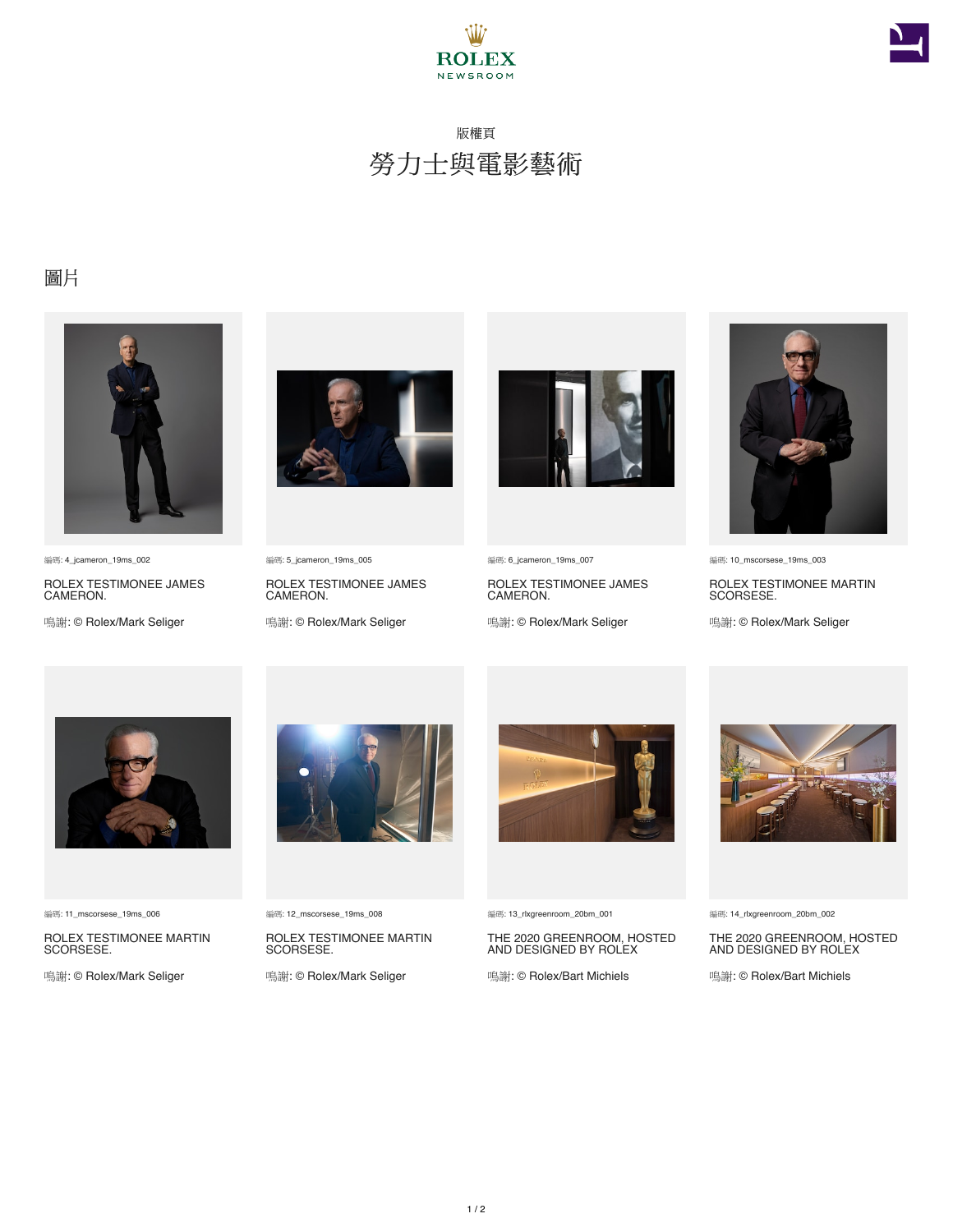



## 版權頁 勞力士與電影藝術

## 圖片



編碼: 4\_jcameron\_19ms\_002

ROLEX TESTIMONEE JAMES CAMERON.

鳴謝: © Rolex/Mark Seliger



編碼: 5\_jcameron\_19ms\_005

ROLEX TESTIMONEE JAMES CAMERON.

鳴謝: © Rolex/Mark Seliger



編碼: 6\_jcameron\_19ms\_007

ROLEX TESTIMONEE JAMES CAMERON.

鳴謝: © Rolex/Mark Seliger



編碼: 10\_mscorsese\_19ms\_003

ROLEX TESTIMONEE MARTIN SCORSESE.

鳴謝: © Rolex/Mark Seliger



編碼: 11\_mscorsese\_19ms\_006

ROLEX TESTIMONEE MARTIN SCORSESE.

鳴謝: © Rolex/Mark Seliger



編碼: 12\_mscorsese\_19ms\_008

ROLEX TESTIMONEE MARTIN SCORSESE.

鳴謝: © Rolex/Mark Seliger



編碼: 13\_rlxgreenroom\_20bm\_001

THE 2020 GREENROOM, HOSTED AND DESIGNED BY ROLEX

鳴謝: © Rolex/Bart Michiels



編碼: 14\_rlxgreenroom\_20bm\_002

THE 2020 GREENROOM, HOSTED AND DESIGNED BY ROLEX

鳴謝: © Rolex/Bart Michiels